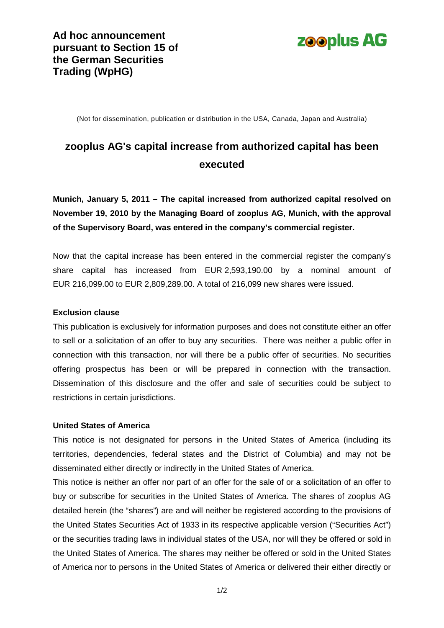

(Not for dissemination, publication or distribution in the USA, Canada, Japan and Australia)

# **zooplus AG's capital increase from authorized capital has been executed**

**Munich, January 5, 2011 – The capital increased from authorized capital resolved on November 19, 2010 by the Managing Board of zooplus AG, Munich, with the approval of the Supervisory Board, was entered in the company's commercial register.**

Now that the capital increase has been entered in the commercial register the company's share capital has increased from EUR 2,593,190.00 by a nominal amount of EUR 216,099.00 to EUR 2,809,289.00. A total of 216,099 new shares were issued.

#### **Exclusion clause**

This publication is exclusively for information purposes and does not constitute either an offer to sell or a solicitation of an offer to buy any securities. There was neither a public offer in connection with this transaction, nor will there be a public offer of securities. No securities offering prospectus has been or will be prepared in connection with the transaction. Dissemination of this disclosure and the offer and sale of securities could be subject to restrictions in certain jurisdictions.

## **United States of America**

This notice is not designated for persons in the United States of America (including its territories, dependencies, federal states and the District of Columbia) and may not be disseminated either directly or indirectly in the United States of America.

This notice is neither an offer nor part of an offer for the sale of or a solicitation of an offer to buy or subscribe for securities in the United States of America. The shares of zooplus AG detailed herein (the "shares") are and will neither be registered according to the provisions of the United States Securities Act of 1933 in its respective applicable version ("Securities Act") or the securities trading laws in individual states of the USA, nor will they be offered or sold in the United States of America. The shares may neither be offered or sold in the United States of America nor to persons in the United States of America or delivered their either directly or